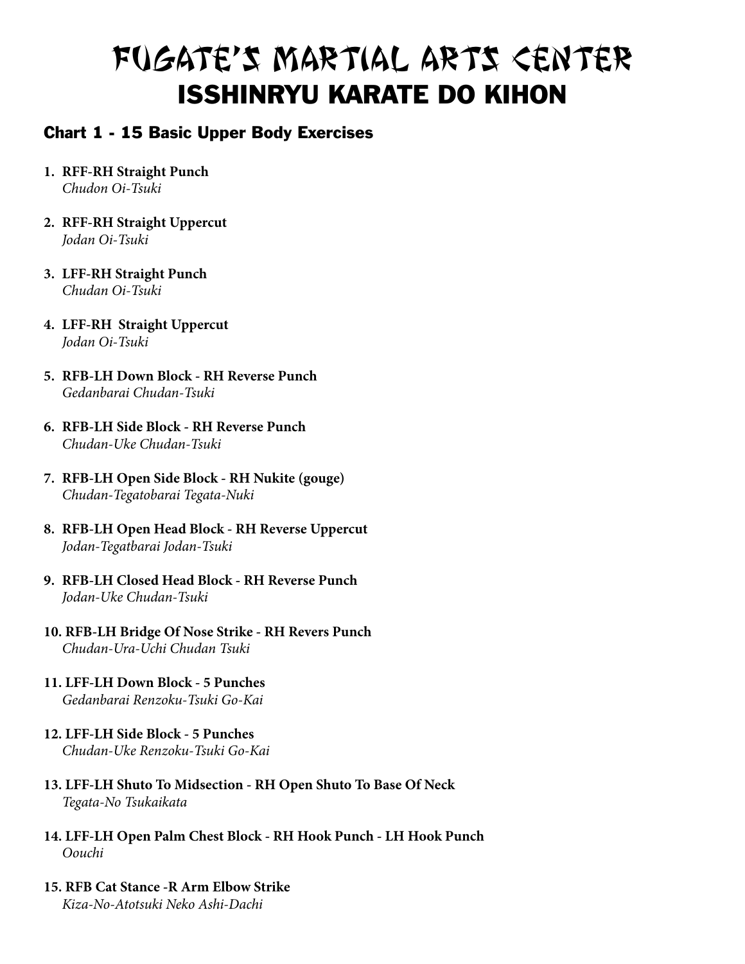#### Chart 1 - 15 Basic Upper Body Exercises

- **1. RFF-RH Straight punch** *Chudon Oi-Tsuki*
- **2. RFF-RH Straight Uppercut** *Jodan Oi-Tsuki*
- **3. LFF-RH Straight Punch** *Chudan Oi-Tsuki*
- **4. LFF-RH Straight Uppercut** *Jodan Oi-Tsuki*
- **5. RFB-LH Down block RH Reverse Punch** *Gedanbarai Chudan-Tsuki*
- **6. RFB-LH Side Block RH Reverse Punch** *Chudan-Uke Chudan-Tsuki*
- **7. RFB-LH Open Side Block RH Nukite (gouge)** *Chudan-Tegatobarai Tegata-Nuki*
- **8. RFB-LH Open Head Block RH Reverse Uppercut** *Jodan-Tegatbarai Jodan-Tsuki*
- **9. RFB-LH Closed Head Block RH Reverse Punch** *Jodan-Uke Chudan-Tsuki*
- **10. RFB-LH Bridge Of Nose Strike RH Revers Punch** *Chudan-Ura-Uchi Chudan Tsuki*
- **11. LFF-LH Down Block 5 Punches** *Gedanbarai Renzoku-Tsuki Go-Kai*
- **12. LFF-LH Side Block 5 Punches** *Chudan-Uke Renzoku-Tsuki Go-Kai*
- **13. LFF-LH Shuto To Midsection RH Open Shuto To Base Of Neck** *Tegata-No Tsukaikata*
- **14. LFF-LH Open Palm Chest Block RH Hook Punch LH Hook Punch** *Oouchi*
- **15. RFB Cat Stance -R Arm Elbow Strike** *Kiza-No-Atotsuki Neko Ashi-Dachi*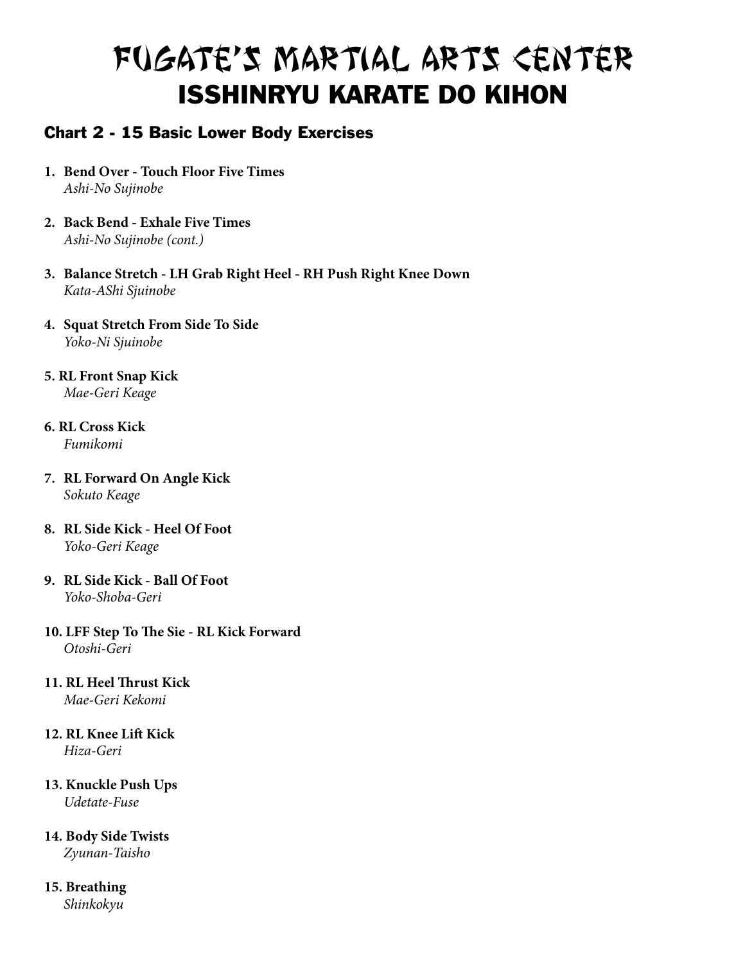### Chart 2 - 15 Basic Lower Body Exercises

- **1. Bend Over Touch Floor Five Times** *Ashi-No Sujinobe*
- **2. Back Bend Exhale Five Times** *Ashi-No Sujinobe (cont.)*
- **3. Balance Stretch LH Grab Right Heel RH Push Right Knee Down** *Kata-AShi Sjuinobe*
- **4. Squat Stretch From Side To Side** *Yoko-Ni Sjuinobe*
- **5. RL Front Snap Kick** *Mae-Geri Keage*
- **6. RL Cross Kick** *Fumikomi*
- **7. RL Forward On Angle Kick** *Sokuto Keage*
- **8. RL Side Kick Heel Of Foot** *Yoko-Geri Keage*
- **9. RL Side Kick Ball Of Foot** *Yoko-Shoba-Geri*
- **10. LFF Step To The Sie RL Kick Forward**  *Otoshi-Geri*
- **11. RL Heel Thrust Kick** *Mae-Geri Kekomi*
- **12. RL Knee Lift Kick** *Hiza-Geri*
- **13. Knuckle Push Ups** *Udetate-Fuse*
- **14. Body Side Twists** *Zyunan-Taisho*

#### **15. Breathing** *Shinkokyu*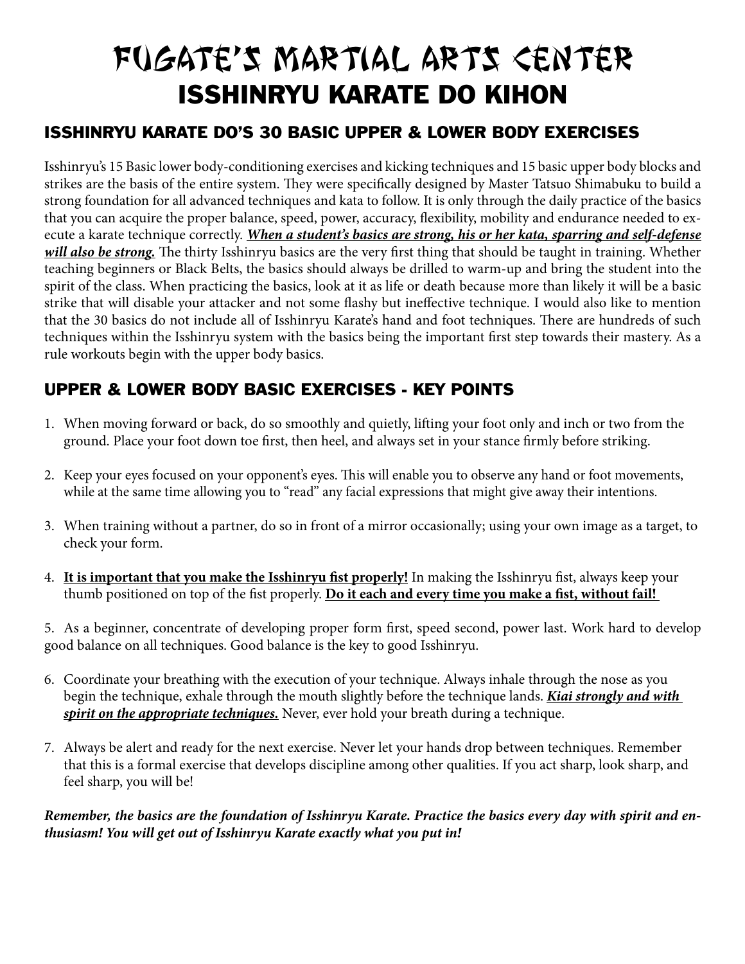## ISSHINRYU KARATE DO'S 30 BASIC UPPER & LOWER BODY EXERCISES

Isshinryu's 15 Basic lower body-conditioning exercises and kicking techniques and 15 basic upper body blocks and strikes are the basis of the entire system. They were specifically designed by Master Tatsuo Shimabuku to build a strong foundation for all advanced techniques and kata to follow. It is only through the daily practice of the basics that you can acquire the proper balance, speed, power, accuracy, flexibility, mobility and endurance needed to execute a karate technique correctly. *When a student's basics are strong, his or her kata, sparring and self-defense will also be strong.* The thirty Isshinryu basics are the very first thing that should be taught in training. Whether teaching beginners or Black Belts, the basics should always be drilled to warm-up and bring the student into the spirit of the class. When practicing the basics, look at it as life or death because more than likely it will be a basic strike that will disable your attacker and not some flashy but ineffective technique. I would also like to mention that the 30 basics do not include all of Isshinryu Karate's hand and foot techniques. There are hundreds of such techniques within the Isshinryu system with the basics being the important first step towards their mastery. As a rule workouts begin with the upper body basics.

## UPPER & LOWER BODY BASIC EXERCISES - KEY POINTS

- 1. When moving forward or back, do so smoothly and quietly, lifting your foot only and inch or two from the ground. Place your foot down toe first, then heel, and always set in your stance firmly before striking.
- 2. Keep your eyes focused on your opponent's eyes. This will enable you to observe any hand or foot movements, while at the same time allowing you to "read" any facial expressions that might give away their intentions.
- 3. When training without a partner, do so in front of a mirror occasionally; using your own image as a target, to check your form.
- 4. **It is important that you make the Isshinryu fist properly!** In making the Isshinryu fist, always keep your thumb positioned on top of the fist properly. **Do it each and every time you make a fist, without fail!**

5. As a beginner, concentrate of developing proper form first, speed second, power last. Work hard to develop good balance on all techniques. Good balance is the key to good Isshinryu.

- 6. Coordinate your breathing with the execution of your technique. Always inhale through the nose as you begin the technique, exhale through the mouth slightly before the technique lands. *Kiai strongly and with spirit on the appropriate techniques.* Never, ever hold your breath during a technique.
- 7. Always be alert and ready for the next exercise. Never let your hands drop between techniques. Remember that this is a formal exercise that develops discipline among other qualities. If you act sharp, look sharp, and feel sharp, you will be!

*Remember, the basics are the foundation of Isshinryu Karate. Practice the basics every day with spirit and enthusiasm! You will get out of Isshinryu Karate exactly what you put in!*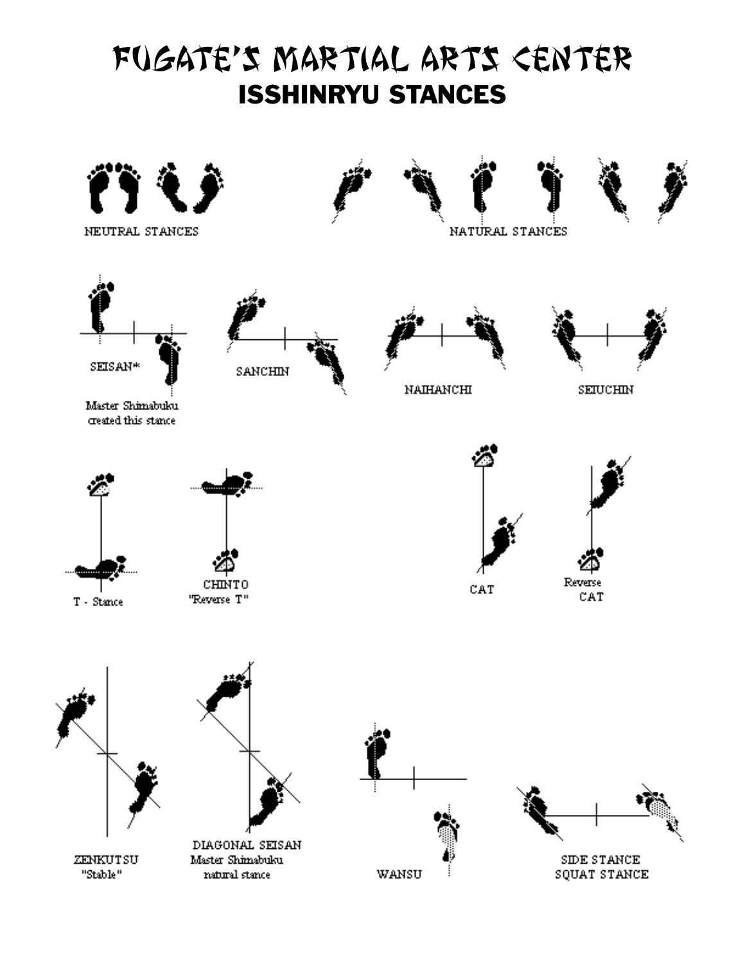## FUGATE'S MARTIAL ARTS CENTER ISSHINRYU STANCES

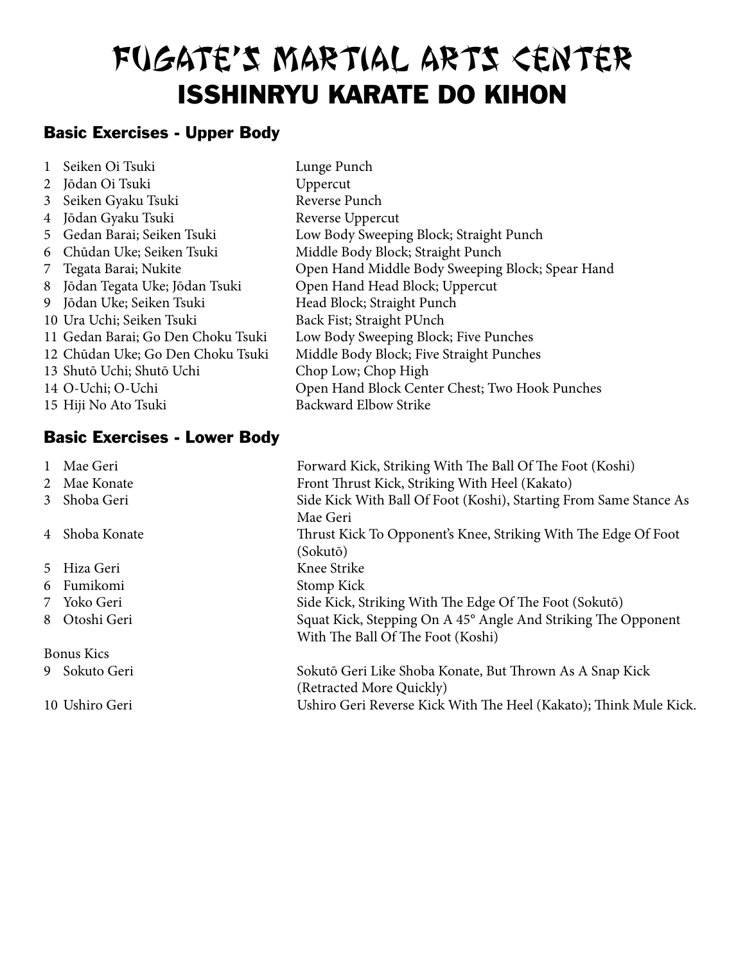## Basic Exercises - Upper Body

|   | Seiken Oi Tsuki                    | Lunge Punch                                      |
|---|------------------------------------|--------------------------------------------------|
|   | 2 Jōdan Oi Tsuki                   | Uppercut                                         |
| 3 | Seiken Gyaku Tsuki                 | Reverse Punch                                    |
| 4 | Jōdan Gyaku Tsuki                  | Reverse Uppercut                                 |
| 5 | Gedan Barai; Seiken Tsuki          | Low Body Sweeping Block; Straight Punch          |
| 6 | Chūdan Uke; Seiken Tsuki           | Middle Body Block; Straight Punch                |
|   | 7 Tegata Barai; Nukite             | Open Hand Middle Body Sweeping Block; Spear Hand |
| 8 | Jōdan Tegata Uke; Jōdan Tsuki      | Open Hand Head Block; Uppercut                   |
|   | 9 Jōdan Uke; Seiken Tsuki          | Head Block; Straight Punch                       |
|   | 10 Ura Uchi; Seiken Tsuki          | Back Fist; Straight PUnch                        |
|   | 11 Gedan Barai; Go Den Choku Tsuki | Low Body Sweeping Block; Five Punches            |
|   | 12 Chūdan Uke; Go Den Choku Tsuki  | Middle Body Block; Five Straight Punches         |
|   | 13 Shutō Uchi; Shutō Uchi          | Chop Low; Chop High                              |
|   | 14 O-Uchi; O-Uchi                  | Open Hand Block Center Chest; Two Hook Punches   |
|   | 15 Hiji No Ato Tsuki               | <b>Backward Elbow Strike</b>                     |

#### Basic Exercises - Lower Body

| 1 Mae Geri        | Forward Kick, Striking With The Ball Of The Foot (Koshi)          |  |
|-------------------|-------------------------------------------------------------------|--|
| 2 Mae Konate      | Front Thrust Kick, Striking With Heel (Kakato)                    |  |
| 3 Shoba Geri      | Side Kick With Ball Of Foot (Koshi), Starting From Same Stance As |  |
|                   | Mae Geri                                                          |  |
| 4 Shoba Konate    | Thrust Kick To Opponent's Knee, Striking With The Edge Of Foot    |  |
|                   | (Sokutō)                                                          |  |
| 5 Hiza Geri       | Knee Strike                                                       |  |
| 6 Fumikomi        | Stomp Kick                                                        |  |
| 7 Yoko Geri       | Side Kick, Striking With The Edge Of The Foot (Sokutō)            |  |
| 8 Otoshi Geri     | Squat Kick, Stepping On A 45° Angle And Striking The Opponent     |  |
|                   | With The Ball Of The Foot (Koshi)                                 |  |
| <b>Bonus Kics</b> |                                                                   |  |
| 9 Sokuto Geri     | Sokutō Geri Like Shoba Konate, But Thrown As A Snap Kick          |  |
|                   | (Retracted More Quickly)                                          |  |
| 10 Ushiro Geri    | Ushiro Geri Reverse Kick With The Heel (Kakato); Think Mule Kick. |  |
|                   |                                                                   |  |